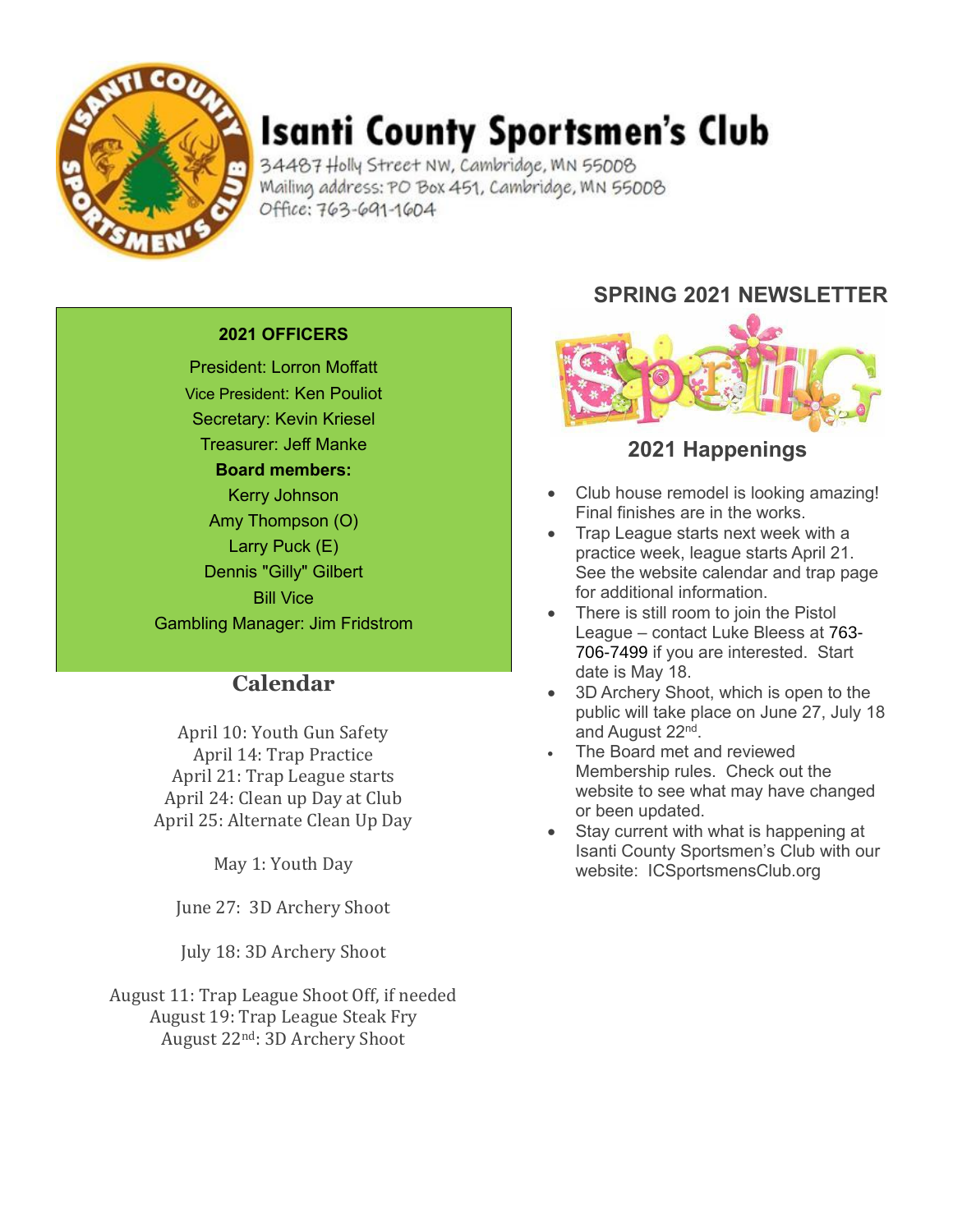

# **Isanti County Sportsmen's Club**

34487 Holly Street NW, Cambridge, MN 55008 Mailing address: PO Box 451, Cambridge, MN 55008 Office: 763-691-1604

#### **2021 OFFICERS**

President: Lorron Moffatt Vice President: Ken Pouliot Secretary: Kevin Kriesel Treasurer: Jeff Manke **Board members:** Kerry Johnson Amy Thompson (O) Larry Puck (E) Dennis "Gilly" Gilbert Bill Vice Gambling Manager: Jim Fridstrom

### **Calendar**

April 10: Youth Gun Safety April 14: Trap Practice April 21: Trap League starts April 24: Clean up Day at Club April 25: Alternate Clean Up Day

May 1: Youth Day

June 27: 3D Archery Shoot

July 18: 3D Archery Shoot

August 11: Trap League Shoot Off, if needed August 19: Trap League Steak Fry August 22nd: 3D Archery Shoot

## **SPRING 2021 NEWSLETTER**



### **2021 Happenings**

- Club house remodel is looking amazing! Final finishes are in the works.
- Trap League starts next week with a practice week, league starts April 21. See the website calendar and trap page for additional information.
- There is still room to join the Pistol League – contact Luke Bleess at 763- 706-7499 if you are interested. Start date is May 18.
- 3D Archery Shoot, which is open to the public will take place on June 27, July 18 and August 22<sup>nd</sup>.
- The Board met and reviewed Membership rules. Check out the website to see what may have changed or been updated.
- Stav current with what is happening at Isanti County Sportsmen's Club with our website: ICSportsmensClub.org